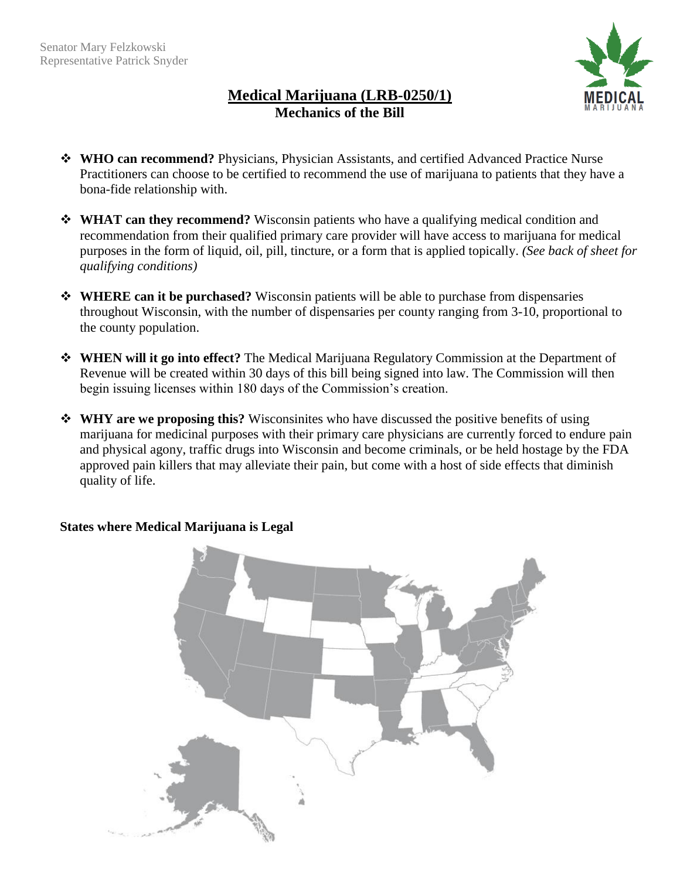

# **Medical Marijuana (LRB-0250/1) Mechanics of the Bill**

- **WHO can recommend?** Physicians, Physician Assistants, and certified Advanced Practice Nurse Practitioners can choose to be certified to recommend the use of marijuana to patients that they have a bona-fide relationship with.
- **WHAT can they recommend?** Wisconsin patients who have a qualifying medical condition and recommendation from their qualified primary care provider will have access to marijuana for medical purposes in the form of liquid, oil, pill, tincture, or a form that is applied topically. *(See back of sheet for qualifying conditions)*
- **WHERE can it be purchased?** Wisconsin patients will be able to purchase from dispensaries throughout Wisconsin, with the number of dispensaries per county ranging from 3-10, proportional to the county population.
- **WHEN will it go into effect?** The Medical Marijuana Regulatory Commission at the Department of Revenue will be created within 30 days of this bill being signed into law. The Commission will then begin issuing licenses within 180 days of the Commission's creation.
- **WHY are we proposing this?** Wisconsinites who have discussed the positive benefits of using marijuana for medicinal purposes with their primary care physicians are currently forced to endure pain and physical agony, traffic drugs into Wisconsin and become criminals, or be held hostage by the FDA approved pain killers that may alleviate their pain, but come with a host of side effects that diminish quality of life.



## **States where Medical Marijuana is Legal**